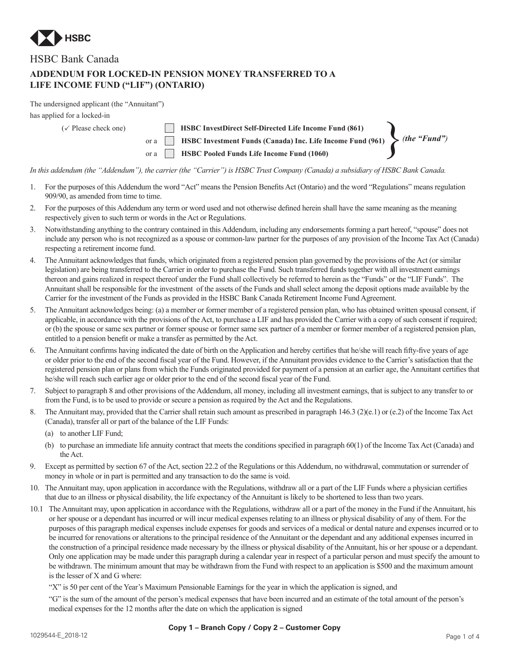

## HSBC Bank Canada

## **ADDENDUM FOR LOCKED-IN PENSION MONEY TRANSFERRED TO A LIFE INCOME FUND ("LIF") (ONTARIO)**

The undersigned applicant (the "Annuitant")

has applied for a locked-in

| has applied for a locked-in      |                                                                           |                     |
|----------------------------------|---------------------------------------------------------------------------|---------------------|
| $(\checkmark)$ Please check one) | <b>HSBC InvestDirect Self-Directed Life Income Fund (861)</b>             |                     |
|                                  | or a <b>ID</b> HSBC Investment Funds (Canada) Inc. Life Income Fund (961) | $\int$ (the "Fund") |
|                                  | <b>HSBC Pooled Funds Life Income Fund (1060)</b><br>$\alpha$ a $\alpha$   |                     |

*In this addendum (the "Addendum"), the carrier (the "Carrier") is HSBC Trust Company (Canada) a subsidiary of HSBC Bank Canada.*

- 1. For the purposes of this Addendum the word "Act" means the Pension Benefits Act (Ontario) and the word "Regulations" means regulation 909/90, as amended from time to time.
- 2. For the purposes of this Addendum any term or word used and not otherwise defined herein shall have the same meaning as the meaning respectively given to such term or words in the Act or Regulations.
- 3. Notwithstanding anything to the contrary contained in this Addendum, including any endorsements forming a part hereof, "spouse" does not include any person who is not recognized as a spouse or common-law partner for the purposes of any provision of the Income Tax Act (Canada) respecting a retirement income fund.
- 4. The Annuitant acknowledges that funds, which originated from a registered pension plan governed by the provisions of the Act (or similar legislation) are being transferred to the Carrier in order to purchase the Fund. Such transferred funds together with all investment earnings thereon and gains realized in respect thereof under the Fund shall collectively be referred to herein as the "Funds" or the "LIF Funds". The Annuitant shall be responsible for the investment of the assets of the Funds and shall select among the deposit options made available by the Carrier for the investment of the Funds as provided in the HSBC Bank Canada Retirement Income Fund Agreement.
- 5. The Annuitant acknowledges being: (a) a member or former member of a registered pension plan, who has obtained written spousal consent, if applicable, in accordance with the provisions of the Act, to purchase a LIF and has provided the Carrier with a copy of such consent if required; or (b) the spouse or same sex partner or former spouse or former same sex partner of a member or former member of a registered pension plan, entitled to a pension benefit or make a transfer as permitted by the Act.
- 6. The Annuitant confirms having indicated the date of birth on the Application and hereby certifies that he/she will reach fifty-five years of age or older prior to the end of the second fiscal year of the Fund. However, if the Annuitant provides evidence to the Carrier's satisfaction that the registered pension plan or plans from which the Funds originated provided for payment of a pension at an earlier age, the Annuitant certifies that he/she will reach such earlier age or older prior to the end of the second fiscal year of the Fund.
- Subject to paragraph 8 and other provisions of the Addendum, all money, including all investment earnings, that is subject to any transfer to or from the Fund, is to be used to provide or secure a pension as required by the Act and the Regulations.
- 8. The Annuitant may, provided that the Carrier shall retain such amount as prescribed in paragraph 146.3 (2)(e.1) or (e.2) of the Income Tax Act (Canada), transfer all or part of the balance of the LIF Funds:
	- (a) to another LIF Fund;
	- (b) to purchase an immediate life annuity contract that meets the conditions specified in paragraph  $60(1)$  of the Income Tax Act (Canada) and the Act.
- 9. Except as permitted by section 67 of the Act, section 22.2 of the Regulations or this Addendum, no withdrawal, commutation or surrender of money in whole or in part is permitted and any transaction to do the same is void.
- 10. The Annuitant may, upon application in accordance with the Regulations, withdraw all or a part of the LIF Funds where a physician certifies that due to an illness or physical disability, the life expectancy of the Annuitant is likely to be shortened to less than two years.
- 10.1 The Annuitant may, upon application in accordance with the Regulations, withdraw all or a part of the money in the Fund if the Annuitant, his or her spouse or a dependant has incurred or will incur medical expenses relating to an illness or physical disability of any of them. For the purposes of this paragraph medical expenses include expenses for goods and services of a medical or dental nature and expenses incurred or to be incurred for renovations or alterations to the principal residence of the Annuitant or the dependant and any additional expenses incurred in the construction of a principal residence made necessary by the illness or physical disability of the Annuitant, his or her spouse or a dependant. Only one application may be made under this paragraph during a calendar year in respect of a particular person and must specify the amount to be withdrawn. The minimum amount that may be withdrawn from the Fund with respect to an application is \$500 and the maximum amount is the lesser of X and G where:

 "X" is 50 per cent of the Year's Maximum Pensionable Earnings for the year in which the application is signed, and

 "G" is the sum of the amount of the person's medical expenses that have been incurred and an estimate of the total amount of the person's medical expenses for the 12 months after the date on which the application is signed

## **Copy 1 – Branch Copy / Copy 2 – Customer Copy**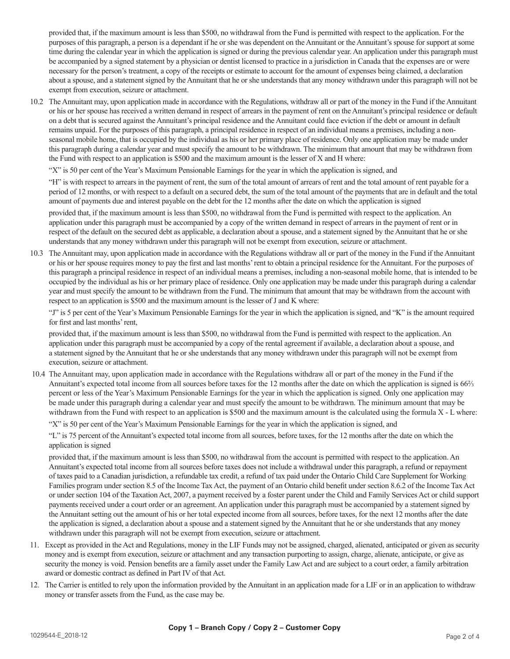provided that, if the maximum amount is less than \$500, no withdrawal from the Fund is permitted with respect to the application. For the purposes of this paragraph, a person is a dependant if he or she was dependent on the Annuitant or the Annuitant's spouse for support at some time during the calendar year in which the application is signed or during the previous calendar year. An application under this paragraph must be accompanied by a signed statement by a physician or dentist licensed to practice in a jurisdiction in Canada that the expenses are or were necessary for the person's treatment, a copy of the receipts or estimate to account for the amount of expenses being claimed, a declaration about a spouse, and a statement signed by the Annuitant that he or she understands that any money withdrawn under this paragraph will not be exempt from execution, seizure or attachment.

10.2 The Annuitant may, upon application made in accordance with the Regulations, withdraw all or part of the money in the Fund if the Annuitant or his or her spouse has received a written demand in respect of arrears in the payment of rent on the Annuitant's principal residence or default on a debt that is secured against the Annuitant's principal residence and the Annuitant could face eviction if the debt or amount in default remains unpaid. For the purposes of this paragraph, a principal residence in respect of an individual means a premises, including a nonseasonal mobile home, that is occupied by the individual as his or her primary place of residence. Only one application may be made under this paragraph during a calendar year and must specify the amount to be withdrawn. The minimum that amount that may be withdrawn from the Fund with respect to an application is \$500 and the maximum amount is the lesser of X and H where:

 "X" is 50 per cent of the Year's Maximum Pensionable Earnings for the year in which the application is signed, and

 "H" is with respect to arrears in the payment of rent, the sum of the total amount of arrears of rent and the total amount of rent payable for a period of 12 months, or with respect to a default on a secured debt, the sum of the total amount of the payments that are in default and the total amount of payments due and interest payable on the debt for the 12 months after the date on which the application is signed

 provided that, if the maximum amount is less than \$500, no withdrawal from the Fund is permitted with respect to the application. An application under this paragraph must be accompanied by a copy of the written demand in respect of arrears in the payment of rent or in respect of the default on the secured debt as applicable, a declaration about a spouse, and a statement signed by the Annuitant that he or she understands that any money withdrawn under this paragraph will not be exempt from execution, seizure or attachment.

10.3 The Annuitant may, upon application made in accordance with the Regulations withdraw all or part of the money in the Fund if the Annuitant or his or her spouse requires money to pay the first and last months'rent to obtain a principal residence for the Annuitant. For the purposes of this paragraph a principal residence in respect of an individual means a premises, including a non-seasonal mobile home, that is intended to be occupied by the individual as his or her primary place of residence. Only one application may be made under this paragraph during a calendar year and must specify the amount to be withdrawn from the Fund. The minimum that amount that may be withdrawn from the account with respect to an application is \$500 and the maximum amount is the lesser of J and K where:

 "J" is 5 per cent of the Year's Maximum Pensionable Earnings for the year in which the application is signed, and "K" is the amount required for first and last months'rent,

 provided that, if the maximum amount is less than \$500, no withdrawal from the Fund is permitted with respect to the application. An application under this paragraph must be accompanied by a copy of the rental agreement if available, a declaration about a spouse, and a statement signed by the Annuitant that he or she understands that any money withdrawn under this paragraph will not be exempt from execution, seizure or attachment.

10.4 The Annuitant may, upon application made in accordance with the Regulations withdraw all or part of the money in the Fund if the Annuitant's expected total income from all sources before taxes for the 12 months after the date on which the application is signed is 66⅔ percent or less of the Year's Maximum Pensionable Earnings for the year in which the application is signed. Only one application may be made under this paragraph during a calendar year and must specify the amount to be withdrawn. The minimum amount that may be withdrawn from the Fund with respect to an application is \$500 and the maximum amount is the calculated using the formula X - L where:

 "X" is 50 per cent of the Year's Maximum Pensionable Earnings for the year in which the application is signed, and

 "L" is 75 percent of the Annuitant's expected total income from all sources, before taxes, for the 12 months after the date on which the application is signed

 provided that, if the maximum amount is less than \$500, no withdrawal from the account is permitted with respect to the application. An Annuitant's expected total income from all sources before taxes does not include a withdrawal under this paragraph, a refund or repayment of taxes paid to a Canadian jurisdiction, a refundable tax credit, a refund of tax paid under the Ontario Child Care Supplement for Working Families program under section 8.5 of the Income Tax Act, the payment of an Ontario child benefit under section 8.6.2 of the Income Tax Act or under section 104 of the Taxation Act, 2007, a payment received by a foster parent under the Child and Family Services Act or child support payments received under a court order or an agreement. An application under this paragraph must be accompanied by a statement signed by the Annuitant setting out the amount of his or her total expected income from all sources, before taxes, for the next 12 months after the date the application is signed, a declaration about a spouse and a statement signed by the Annuitant that he or she understands that any money withdrawn under this paragraph will not be exempt from execution, seizure or attachment.

- 11. Except as provided in the Act and Regulations, money in the LIF Funds may not be assigned, charged, alienated, anticipated or given as security money and is exempt from execution, seizure or attachment and any transaction purporting to assign, charge, alienate, anticipate, or give as security the money is void. Pension benefits are a family asset under the Family Law Act and are subject to a court order, a family arbitration award or domestic contract as defined in Part IV of that Act.
- 12. The Carrier is entitled to rely upon the information provided by the Annuitant in an application made for a LIF or in an application to withdraw money or transfer assets from the Fund, as the case may be.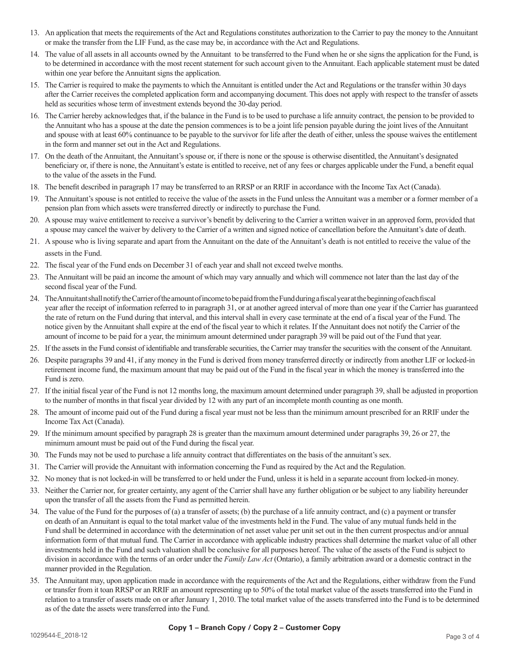- 13. An application that meets the requirements of the Act and Regulations constitutes authorization to the Carrier to pay the money to the Annuitant or make the transfer from the LIF Fund, as the case may be, in accordance with the Act and Regulations.
- 14. The value of all assets in all accounts owned by the Annuitant to be transferred to the Fund when he or she signs the application for the Fund, is to be determined in accordance with the most recent statement for such account given to the Annuitant. Each applicable statement must be dated within one year before the Annuitant signs the application.
- 15. The Carrier is required to make the payments to which the Annuitant is entitled under the Act and Regulations or the transfer within 30 days after the Carrier receives the completed application form and accompanying document. This does not apply with respect to the transfer of assets held as securities whose term of investment extends beyond the 30-day period.
- 16. The Carrier hereby acknowledges that, if the balance in the Fund is to be used to purchase a life annuity contract, the pension to be provided to the Annuitant who has a spouse at the date the pension commences is to be a joint life pension payable during the joint lives of the Annuitant and spouse with at least 60% continuance to be payable to the survivor for life after the death of either, unless the spouse waives the entitlement in the form and manner set out in the Act and Regulations.
- 17. On the death of the Annuitant, the Annuitant's spouse or, if there is none or the spouse is otherwise disentitled, the Annuitant's designated beneficiary or, if there is none, the Annuitant's estate is entitled to receive, net of any fees or charges applicable under the Fund, a benefit equal to the value of the assets in the Fund.
- 18. The benefit described in paragraph 17 may be transferred to an RRSP or an RRIF in accordance with the Income Tax Act (Canada).
- 19. The Annuitant's spouse is not entitled to receive the value of the assets in the Fund unless the Annuitant was a member or a former member of a pension plan from which assets were transferred directly or indirectly to purchase the Fund.
- 20. A spouse may waive entitlement to receive a survivor's benefit by delivering to the Carrier a written waiver in an approved form, provided that a spouse may cancel the waiver by delivery to the Carrier of a written and signed notice of cancellation before the Annuitant's date of death.
- 21. A spouse who is living separate and apart from the Annuitant on the date of the Annuitant's death is not entitled to receive the value of the assets in the Fund.
- 22. The fiscal year of the Fund ends on December 31 of each year and shall not exceed twelve months.
- 23. The Annuitant will be paid an income the amount of which may vary annually and which will commence not later than the last day of the second fiscal year of the Fund.
- 24. The Annuitant shall notify the Carrier of the amount of income to be paid from the Fund during a fiscal year at the beginning of each fiscal year after the receipt of information referred to in paragraph 31, or at another agreed interval of more than one year if the Carrier has guaranteed the rate of return on the Fund during that interval, and this interval shall in every case terminate at the end of a fiscal year of the Fund. The notice given by the Annuitant shall expire at the end of the fiscal year to which it relates. If the Annuitant does not notify the Carrier of the amount of income to be paid for a year, the minimum amount determined under paragraph 39 will be paid out of the Fund that year.
- 25. If the assetsin the Fund consist of identifiable and transferable securities, the Carrier may transfer the securities with the consent of the Annuitant.
- 26. Despite paragraphs 39 and 41, if any money in the Fund is derived from money transferred directly or indirectly from another LIF or locked-in retirement income fund, the maximum amount that may be paid out of the Fund in the fiscal year in which the money is transferred into the Fund is zero.
- 27. If the initial fiscal year of the Fund is not 12 months long, the maximum amount determined under paragraph 39, shall be adjusted in proportion to the number of months in that fiscal year divided by 12 with any part of an incomplete month counting as one month.
- 28. The amount of income paid out of the Fund during a fiscal year must not be less than the minimum amount prescribed for an RRIF under the Income Tax Act (Canada).
- 29. If the minimum amount specified by paragraph 28 is greater than the maximum amount determined under paragraphs 39, 26 or 27, the minimum amount must be paid out of the Fund during the fiscal year.
- 30. The Funds may not be used to purchase a life annuity contract that differentiates on the basis of the annuitant's sex.
- 31. The Carrier will provide the Annuitant with information concerning the Fund as required by the Act and the Regulation.
- 32. No money that is not locked-in will be transferred to or held under the Fund, unless it is held in a separate account from locked-in money.
- 33. Neither the Carrier nor, for greater certainty, any agent of the Carrier shall have any further obligation or be subject to any liability hereunder upon the transfer of all the assets from the Fund as permitted herein.
- 34. The value of the Fund for the purposes of (a) a transfer of assets; (b) the purchase of a life annuity contract, and (c) a payment or transfer on death of an Annuitant is equal to the total market value of the investments held in the Fund. The value of any mutual funds held in the Fund shall be determined in accordance with the determination of net asset value per unit set out in the then current prospectus and/or annual information form of that mutual fund. The Carrier in accordance with applicable industry practices shall determine the market value of all other investments held in the Fund and such valuation shall be conclusive for all purposes hereof. The value of the assets of the Fund is subject to division in accordance with the terms of an order under the *Family Law Act* (Ontario), a family arbitration award or a domestic contract in the manner provided in the Regulation.
- 35. The Annuitant may, upon application made in accordance with the requirements of the Act and the Regulations, either withdraw from the Fund or transfer from it toan RRSP or an RRIF an amount representing up to 50% of the total market value of the assets transferred into the Fund in relation to a transfer of assets made on or after January 1, 2010. The total market value of the assets transferred into the Fund is to be determined as of the date the assets were transferred into the Fund.